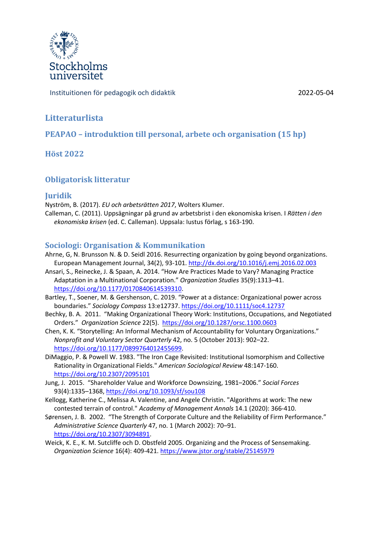

Instituitionen för pedagogik och didaktik 2022-05-04

# **Litteraturlista**

**PEAPAO** – introduktion till personal, arbete och organisation (15 hp)

**Höst 2022**

## **Obligatorisk litteratur**

### **Juridik**

Nyström, B. (2017). *EU och arbetsrätten 2017*, Wolters Klumer. Calleman, C. (2011). Uppsägningar på grund av arbetsbrist i den ekonomiska krisen. I *Rätten i den ekonomiska krisen* (ed. C. Calleman). Uppsala: Iustus förlag, s 163-190.

### **Sociologi: Organisation & Kommunikation**

- Ahrne, G, N. Brunsson N. & D. Seidl 2016. Resurrecting organization by going beyond organizations. European Management Journal, 34(2), 93-101. http://dx.doi.org/10.1016/j.emj.2016.02.003
- Ansari, S., Reinecke, J. & Spaan, A. 2014. "How Are Practices Made to Vary? Managing Practice Adaptation in a Multinational Corporation." *Organization Studies* 35(9):1313–41. https://doi.org/10.1177/0170840614539310.
- Bartley, T., Soener, M. & Gershenson, C. 2019. "Power at a distance: Organizational power across boundaries." *Sociology Compass* 13:e12737. https://doi.org/10.1111/soc4.12737
- Bechky, B. A. 2011. "Making Organizational Theory Work: Institutions, Occupations, and Negotiated Orders." *Organization Science* 22(5). https://doi.org/10.1287/orsc.1100.0603
- Chen, K. K. "Storytelling: An Informal Mechanism of Accountability for Voluntary Organizations." *Nonprofit and Voluntary Sector Quarterly* 42, no. 5 (October 2013): 902–22. https://doi.org/10.1177/0899764012455699.
- DiMaggio, P. & Powell W. 1983. "The Iron Cage Revisited: Institutional Isomorphism and Collective Rationality in Organizational Fields." *American Sociological Review* 48:147-160. https://doi.org/10.2307/2095101
- Jung, J. 2015. "Shareholder Value and Workforce Downsizing, 1981–2006." *Social Forces* 93(4):1335–1368, https://doi.org/10.1093/sf/sou108
- Kellogg, Katherine C., Melissa A. Valentine, and Angele Christin. "Algorithms at work: The new contested terrain of control." *Academy of Management Annals* 14.1 (2020): 366-410.
- Sørensen, J. B. 2002. "The Strength of Corporate Culture and the Reliability of Firm Performance." *Administrative Science Quarterly* 47, no. 1 (March 2002): 70–91. https://doi.org/10.2307/3094891.
- Weick, K. E., K. M. Sutcliffe och D. Obstfeld 2005. Organizing and the Process of Sensemaking. *Organization Science* 16(4): 409-421. https://www.jstor.org/stable/25145979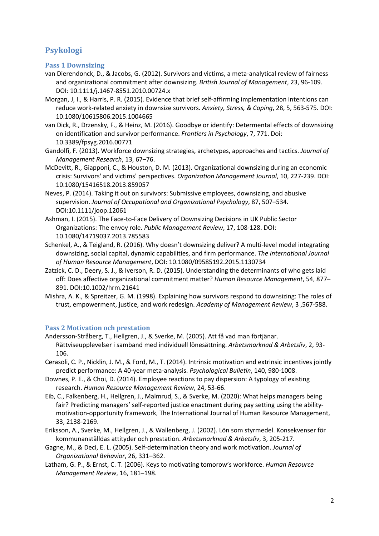## **Psykologi**

#### **Pass 1 Downsizing**

- van Dierendonck, D., & Jacobs, G. (2012). Survivors and victims, a meta-analytical review of fairness and organizational commitment after downsizing. *British Journal of Management*, 23, 96-109. DOI: 10.1111/j.1467-8551.2010.00724.x
- Morgan, J, I., & Harris, P. R. (2015). Evidence that brief self-affirming implementation intentions can reduce work-related anxiety in downsize survivors. *Anxiety, Stress, & Coping*, 28, 5, 563-575. DOI: 10.1080/10615806.2015.1004665
- van Dick, R., Drzensky, F., & Heinz, M. (2016). Goodbye or identify: Determental effects of downsizing on identification and survivor performance. *Frontiers in Psychology*, 7, 771. Doi: 10.3389/fpsyg.2016.00771
- Gandolfi, F. (2013). Workforce downsizing strategies, archetypes, approaches and tactics. *Journal of Management Research*, 13, 67–76.
- McDevitt, R., Giapponi, C., & Houston, D. M. (2013). Organizational downsizing during an economic crisis: Survivors' and victims' perspectives. *Organization Management Journal*, 10, 227-239. DOI: 10.1080/15416518.2013.859057
- Neves, P. (2014). Taking it out on survivors: Submissive employees, downsizing, and abusive supervision. *Journal of Occupational and Organizational Psychology*, 87, 507–534. DOI:10.1111/joop.12061
- Ashman, I. (2015). The Face-to-Face Delivery of Downsizing Decisions in UK Public Sector Organizations: The envoy role. *Public Management Review*, 17, 108-128. DOI: 10.1080/14719037.2013.785583
- Schenkel, A., & Teigland, R. (2016). Why doesn't downsizing deliver? A multi-level model integrating downsizing, social capital, dynamic capabilities, and firm performance. *The International Journal of Human Resource Management*, DOI: 10.1080/09585192.2015.1130734
- Zatzick, C. D., Deery, S. J., & Iverson, R. D. (2015). Understanding the determinants of who gets laid off: Does affective organizational commitment matter? *Human Resource Management*, 54, 877– 891. DOI:10.1002/hrm.21641
- Mishra, A. K., & Spreitzer, G. M. (1998). Explaining how survivors respond to downsizing: The roles of trust, empowerment, justice, and work redesign. *Academy of Management Review*, 3 ,567-588.

### **Pass 2 Motivation och prestation**

- Andersson-Stråberg, T., Hellgren, J., & Sverke, M. (2005). Att få vad man förtjänar. Rättviseupplevelser i samband med individuell lönesättning. *Arbetsmarknad & Arbetsliv*, 2, 93- 106.
- Cerasoli, C. P., Nicklin, J. M., & Ford, M., T. (2014). Intrinsic motivation and extrinsic incentives jointly predict performance: A 40-year meta-analysis. *Psychological Bulletin*, 140, 980-1008.
- Downes, P. E., & Choi, D. (2014). Employee reactions to pay dispersion: A typology of existing research. *Human Resource Management Review*, 24, 53-66.
- Eib, C., Falkenberg, H., Hellgren, J., Malmrud, S., & Sverke, M. (2020): What helps managers being fair? Predicting managers' self-reported justice enactment during pay setting using the abilitymotivation-opportunity framework, The International Journal of Human Resource Management, 33, 2138-2169.
- Eriksson, A., Sverke, M., Hellgren, J., & Wallenberg, J. (2002). Lön som styrmedel. Konsekvenser för kommunanställdas attityder och prestation. *Arbetsmarknad & Arbetsliv*, 3, 205-217.
- Gagne, M., & Deci, E. L. (2005). Self-determination theory and work motivation. *Journal of Organizational Behavior*, 26, 331–362.
- Latham, G. P., & Ernst, C. T. (2006). Keys to motivating tomorow's workforce. *Human Resource Management Review*, 16, 181–198.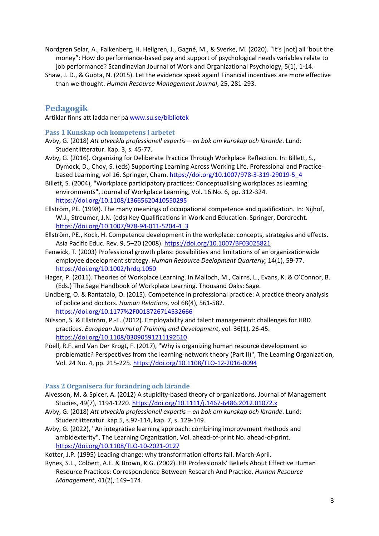- Nordgren Selar, A., Falkenberg, H. Hellgren, J., Gagné, M., & Sverke, M. (2020). "It's [not] all 'bout the money": How do performance-based pay and support of psychological needs variables relate to job performance? Scandinavian Journal of Work and Organizational Psychology, 5(1), 1-14.
- Shaw, J. D., & Gupta, N. (2015). Let the evidence speak again! Financial incentives are more effective than we thought. *Human Resource Management Journal*, 25, 281-293.

# **Pedagogik**

Artiklar finns att ladda ner på www.su.se/bibliotek

**Pass 1 Kunskap och kompetens i arbetet** 

- Avby, G. (2018) *Att utveckla professionell expertis – en bok om kunskap och lärande*. Lund: Studentlitteratur. Kap. 3, s. 45-77.
- Avby, G. (2016). Organizing for Deliberate Practice Through Workplace Reflection. In: Billett, S., Dymock, D., Choy, S. (eds) Supporting Learning Across Working Life. Professional and Practicebased Learning, vol 16. Springer, Cham. https://doi.org/10.1007/978-3-319-29019-5\_4
- Billett, S. (2004), "Workplace participatory practices: Conceptualising workplaces as learning environments", Journal of Workplace Learning, Vol. 16 No. 6, pp. 312-324. https://doi.org/10.1108/13665620410550295
- Ellström, PE. (1998). The many meanings of occupational competence and qualification. In: Nijhof, W.J., Streumer, J.N. (eds) Key Qualifications in Work and Education. Springer, Dordrecht. https://doi.org/10.1007/978-94-011-5204-4\_3
- Ellström, PE., Kock, H. Competence development in the workplace: concepts, strategies and effects. Asia Pacific Educ. Rev. 9, 5–20 (2008). https://doi.org/10.1007/BF03025821
- Fenwick, T. (2003) Professional growth plans: possibilities and limitations of an organizationwide employee decelopment strategy. *Human Resource Deelopment Quarterly,* 14(1), 59-77. https://doi.org/10.1002/hrdq.1050
- Hager, P. (2011). Theories of Workplace Learning. In Malloch, M., Cairns, L., Evans, K. & O'Connor, B. (Eds.) The Sage Handbook of Workplace Learning. Thousand Oaks: Sage.
- Lindberg, O. & Rantatalo, O. (2015). Competence in professional practice: A practice theory analysis of police and doctors. *Human Relations,* vol 68(4), 561-582. https://doi.org/10.1177%2F0018726714532666
- Nilsson, S. & Ellström, P.-E. (2012). Employability and talent management: challenges for HRD practices. *European Journal of Training and Development*, vol. 36(1), 26-45. https://doi.org/10.1108/03090591211192610
- Poell, R.F. and Van Der Krogt, F. (2017), "Why is organizing human resource development so problematic? Perspectives from the learning-network theory (Part II)", The Learning Organization, Vol. 24 No. 4, pp. 215-225. https://doi.org/10.1108/TLO-12-2016-0094

### **Pass 2 Organisera för förändring och lärande**

- Alvesson, M. & Spicer, A. (2012) A stupidity-based theory of organizations. Journal of Management Studies, 49(7), 1194-1220. https://doi.org/10.1111/j.1467-6486.2012.01072.x
- Avby, G. (2018) *Att utveckla professionell expertis – en bok om kunskap och lärande*. Lund: Studentlitteratur. kap 5, s.97-114, kap. 7, s. 129-149.
- Avby, G. (2022), "An integrative learning approach: combining improvement methods and ambidexterity", The Learning Organization, Vol. ahead-of-print No. ahead-of-print. https://doi.org/10.1108/TLO-10-2021-0127

Kotter, J.P. (1995) Leading change: why transformation efforts fail. March-April.

Rynes, S.L., Colbert, A.E. & Brown, K.G. (2002). HR Professionals' Beliefs About Effective Human Resource Practices: Correspondence Between Research And Practice. *Human Resource Management*, 41(2), 149–174.